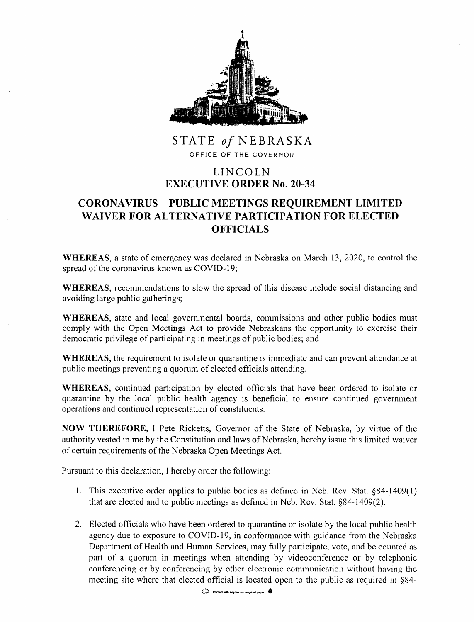

STATE *of* NEBRASKA OFFICE OF THE GOVERNOR

## LINCOLN **EXECUTIVE ORDER No. 20-34**

## **CORONA VIRUS** - **PUBLIC MEETINGS REQUIREMENT LIMITED WAIVER FOR ALTERNATIVE PARTICIPATION FOR ELECTED OFFICIALS**

**WHEREAS,** a state of emergency was declared in Nebraska on March 13, 2020, to control the spread of the coronavirus known as COVID-19;

**WHEREAS,** recommendations to slow the spread of this disease include social distancing and avoiding large public gatherings;

**WHEREAS,** state and local governmental boards, commissions and other public bodies must comply with the Open Meetings Act to provide Nebraskans the opportunity to exercise their democratic privilege of participating in meetings of public bodies; and

**WHEREAS,** the requirement to isolate or quarantine is immediate and can prevent attendance at public meetings preventing a quorum of elected officials attending.

**WHEREAS,** continued participation by elected officials that have been ordered to isolate or quarantine by the local public health agency is beneficial to ensure continued government operations and continued representation of constituents.

**NOW THEREFORE,** I Pete Ricketts, Governor of the State of Nebraska, by virtue of the authority vested in me by the Constitution and laws of Nebraska, hereby issue this limited waiver of certain requirements of the Nebraska Open Meetings Act.

Pursuant to this declaration, I hereby order the following:

- 1. This executive order applies to public bodies as defined in Neb. Rev. Stat. §84-1409( 1) that are elected and to public meetings as defined in Neb. Rev. Stat. §84-1409(2).
- 2. Elected officials who have been ordered to quarantine or isolate by the local public health agency due to exposure to COVID-19, in conformance with guidance from the Nebraska Department of Health and Human Services, may fully participate, vote, and be counted as part of a quorum in meetings when attending by videoconference or by telephonic conferencing or by conferencing by other electronic communication without having the meeting site where that elected official is located open to the public as required in §84-